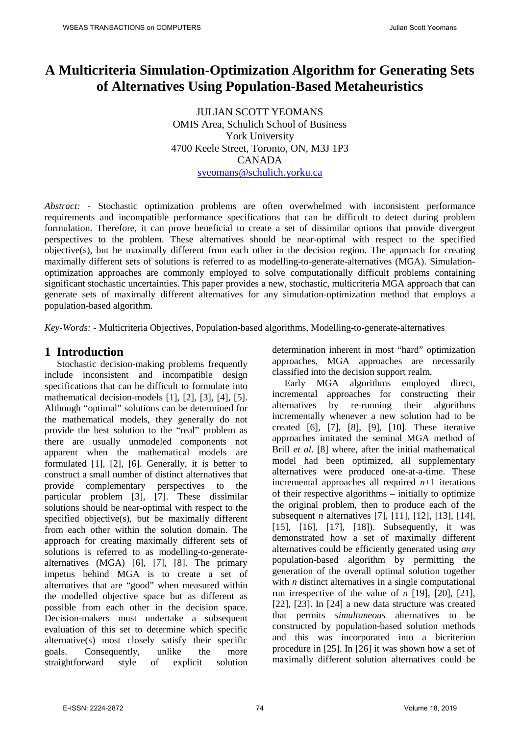# **A Multicriteria Simulation-Optimization Algorithm for Generating Sets of Alternatives Using Population-Based Metaheuristics**

JULIAN SCOTT YEOMANS OMIS Area, Schulich School of Business York University 4700 Keele Street, Toronto, ON, M3J 1P3 CANADA [syeomans@schulich.yorku.ca](mailto:Syeomans@ssb.yorku.ca)

*Abstract: -* Stochastic optimization problems are often overwhelmed with inconsistent performance requirements and incompatible performance specifications that can be difficult to detect during problem formulation. Therefore, it can prove beneficial to create a set of dissimilar options that provide divergent perspectives to the problem. These alternatives should be near-optimal with respect to the specified objective(s), but be maximally different from each other in the decision region. The approach for creating maximally different sets of solutions is referred to as modelling-to-generate-alternatives (MGA). Simulationoptimization approaches are commonly employed to solve computationally difficult problems containing significant stochastic uncertainties. This paper provides a new, stochastic, multicriteria MGA approach that can generate sets of maximally different alternatives for any simulation-optimization method that employs a population-based algorithm.

*Key-Words: -* Multicriteria Objectives, Population-based algorithms, Modelling-to-generate-alternatives

#### **1 Introduction**

Stochastic decision-making problems frequently include inconsistent and incompatible design specifications that can be difficult to formulate into mathematical decision-models [1], [2], [3], [4], [5]. Although "optimal" solutions can be determined for the mathematical models, they generally do not provide the best solution to the "real" problem as there are usually unmodeled components not apparent when the mathematical models are formulated [1], [2], [6]. Generally, it is better to construct a small number of distinct alternatives that provide complementary perspectives to the particular problem [3], [7]. These dissimilar solutions should be near-optimal with respect to the specified objective(s), but be maximally different from each other within the solution domain. The approach for creating maximally different sets of solutions is referred to as modelling-to-generatealternatives (MGA) [6], [7], [8]. The primary impetus behind MGA is to create a set of alternatives that are "good" when measured within the modelled objective space but as different as possible from each other in the decision space. Decision-makers must undertake a subsequent evaluation of this set to determine which specific alternative(s) most closely satisfy their specific goals. Consequently, unlike the more straightforward style of explicit solution determination inherent in most "hard" optimization approaches, MGA approaches are necessarily classified into the decision support realm.

Early MGA algorithms employed direct. incremental approaches for constructing their alternatives by re-running their algorithms incrementally whenever a new solution had to be created [6], [7], [8], [9], [10]. These iterative approaches imitated the seminal MGA method of Brill *et al*. [8] where, after the initial mathematical model had been optimized, all supplementary alternatives were produced one-at-a-time. These incremental approaches all required  $n+1$  iterations of their respective algorithms – initially to optimize the original problem, then to produce each of the subsequent *n* alternatives [7], [11], [12], [13], [14], [15], [16], [17], [18]). Subsequently, it was demonstrated how a set of maximally different alternatives could be efficiently generated using *any* population-based algorithm by permitting the generation of the overall optimal solution together with *n* distinct alternatives in a single computational run irrespective of the value of *n* [19], [20], [21], [22], [23]. In [24] a new data structure was created that permits *simultaneous* alternatives to be constructed by population-based solution methods and this was incorporated into a bicriterion procedure in [25]. In [26] it was shown how a set of maximally different solution alternatives could be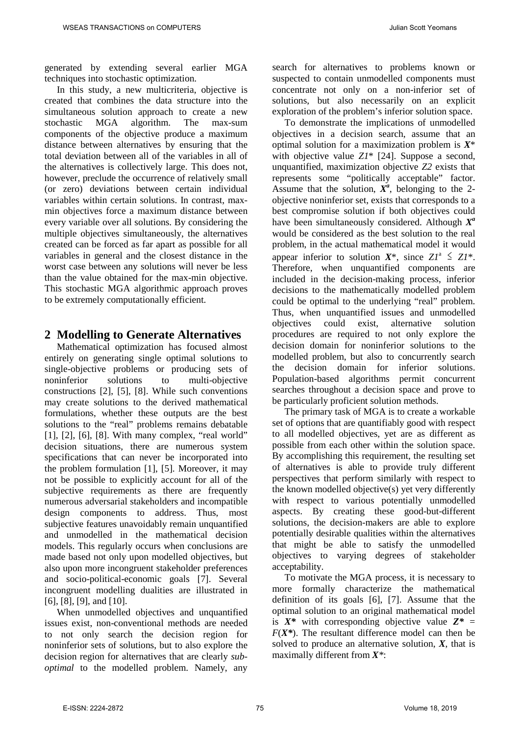generated by extending several earlier MGA techniques into stochastic optimization.

In this study, a new multicriteria, objective is created that combines the data structure into the simultaneous solution approach to create a new stochastic MGA algorithm. The max-sum components of the objective produce a maximum distance between alternatives by ensuring that the total deviation between all of the variables in all of the alternatives is collectively large. This does not, however, preclude the occurrence of relatively small (or zero) deviations between certain individual variables within certain solutions. In contrast, maxmin objectives force a maximum distance between every variable over all solutions. By considering the multiple objectives simultaneously, the alternatives created can be forced as far apart as possible for all variables in general and the closest distance in the worst case between any solutions will never be less than the value obtained for the max-min objective. This stochastic MGA algorithmic approach proves to be extremely computationally efficient.

#### **2 Modelling to Generate Alternatives**

Mathematical optimization has focused almost entirely on generating single optimal solutions to single-objective problems or producing sets of noninferior solutions to multi-objective constructions [2], [5], [8]. While such conventions may create solutions to the derived mathematical formulations, whether these outputs are the best solutions to the "real" problems remains debatable [1], [2], [6], [8]. With many complex, "real world" decision situations, there are numerous system specifications that can never be incorporated into the problem formulation [1], [5]. Moreover, it may not be possible to explicitly account for all of the subjective requirements as there are frequently numerous adversarial stakeholders and incompatible design components to address. Thus, most subjective features unavoidably remain unquantified and unmodelled in the mathematical decision models. This regularly occurs when conclusions are made based not only upon modelled objectives, but also upon more incongruent stakeholder preferences and socio-political-economic goals [7]. Several incongruent modelling dualities are illustrated in [6], [8], [9], and [10].

When unmodelled objectives and unquantified issues exist, non-conventional methods are needed to not only search the decision region for noninferior sets of solutions, but to also explore the decision region for alternatives that are clearly *suboptimal* to the modelled problem. Namely, any search for alternatives to problems known or suspected to contain unmodelled components must concentrate not only on a non-inferior set of solutions, but also necessarily on an explicit exploration of the problem's inferior solution space.

To demonstrate the implications of unmodelled objectives in a decision search, assume that an optimal solution for a maximization problem is *X*\* with objective value *Z1*\* [24]. Suppose a second, unquantified, maximization objective *Z2* exists that represents some "politically acceptable" factor. Assume that the solution,  $X^a$ , belonging to the 2objective noninferior set, exists that corresponds to a best compromise solution if both objectives could have been simultaneously considered. Although *Xa* would be considered as the best solution to the real problem, in the actual mathematical model it would appear inferior to solution  $X^*$ , since  $ZI^* \leq ZI^*$ . Therefore, when unquantified components are included in the decision-making process, inferior decisions to the mathematically modelled problem could be optimal to the underlying "real" problem. Thus, when unquantified issues and unmodelled objectives could exist, alternative solution procedures are required to not only explore the decision domain for noninferior solutions to the modelled problem, but also to concurrently search the decision domain for inferior solutions. Population-based algorithms permit concurrent searches throughout a decision space and prove to be particularly proficient solution methods.

The primary task of MGA is to create a workable set of options that are quantifiably good with respect to all modelled objectives, yet are as different as possible from each other within the solution space. By accomplishing this requirement, the resulting set of alternatives is able to provide truly different perspectives that perform similarly with respect to the known modelled objective(s) yet very differently with respect to various potentially unmodelled aspects. By creating these good-but-different solutions, the decision-makers are able to explore potentially desirable qualities within the alternatives that might be able to satisfy the unmodelled objectives to varying degrees of stakeholder acceptability.

To motivate the MGA process, it is necessary to more formally characterize the mathematical definition of its goals [6], [7]. Assume that the optimal solution to an original mathematical model is  $X^*$  with corresponding objective value  $Z^* =$  $F(X^*)$ . The resultant difference model can then be solved to produce an alternative solution, *X*, that is maximally different from *X\**: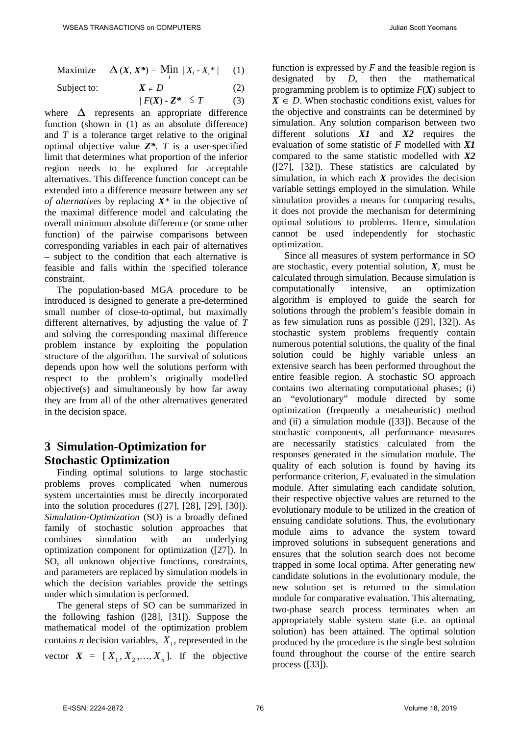$$
\text{Maximize} \quad \Delta\left(X, X^*\right) = \text{Min} \ |X_i - X_i^*| \qquad (1)
$$

Subject to:  $X \in D$  (2)

$$
/ F(X) - Z^* / \leq T \tag{3}
$$

where  $\Delta$  represents an appropriate difference function (shown in (1) as an absolute difference) and *T* is a tolerance target relative to the original optimal objective value *Z\**. *T* is a user-specified limit that determines what proportion of the inferior region needs to be explored for acceptable alternatives. This difference function concept can be extended into a difference measure between any *set of alternatives* by replacing *X\** in the objective of the maximal difference model and calculating the overall minimum absolute difference (or some other function) of the pairwise comparisons between corresponding variables in each pair of alternatives – subject to the condition that each alternative is feasible and falls within the specified tolerance constraint.

The population-based MGA procedure to be introduced is designed to generate a pre-determined small number of close-to-optimal, but maximally different alternatives, by adjusting the value of *T* and solving the corresponding maximal difference problem instance by exploiting the population structure of the algorithm. The survival of solutions depends upon how well the solutions perform with respect to the problem's originally modelled objective(s) and simultaneously by how far away they are from all of the other alternatives generated in the decision space.

### **3 Simulation-Optimization for Stochastic Optimization**

Finding optimal solutions to large stochastic problems proves complicated when numerous system uncertainties must be directly incorporated into the solution procedures ([27], [28], [29], [30]). *Simulation-Optimization* (SO) is a broadly defined family of stochastic solution approaches that combines simulation with an underlying optimization component for optimization ([27]). In SO, all unknown objective functions, constraints, and parameters are replaced by simulation models in which the decision variables provide the settings under which simulation is performed.

The general steps of SO can be summarized in the following fashion ([28], [31]). Suppose the mathematical model of the optimization problem contains *n* decision variables,  $X_i$ , represented in the vector  $X = [X_1, X_2, \ldots, X_n]$ . If the objective

function is expressed by *F* and the feasible region is designated by *D*, then the mathematical programming problem is to optimize  $F(X)$  subject to  $X \in D$ . When stochastic conditions exist, values for the objective and constraints can be determined by simulation. Any solution comparison between two different solutions *X1* and *X2* requires the evaluation of some statistic of *F* modelled with *X1* compared to the same statistic modelled with *X2* ([27], [32]). These statistics are calculated by simulation, in which each  $X$  provides the decision variable settings employed in the simulation. While simulation provides a means for comparing results, it does not provide the mechanism for determining optimal solutions to problems. Hence, simulation cannot be used independently for stochastic optimization.

Since all measures of system performance in SO are stochastic, every potential solution, *X*, must be calculated through simulation. Because simulation is computationally intensive, an optimization algorithm is employed to guide the search for solutions through the problem's feasible domain in as few simulation runs as possible ([29], [32]). As stochastic system problems frequently contain numerous potential solutions, the quality of the final solution could be highly variable unless an extensive search has been performed throughout the entire feasible region. A stochastic SO approach contains two alternating computational phases; (i) an "evolutionary" module directed by some optimization (frequently a metaheuristic) method and (ii) a simulation module ([33]). Because of the stochastic components, all performance measures are necessarily statistics calculated from the responses generated in the simulation module. The quality of each solution is found by having its performance criterion, *F*, evaluated in the simulation module. After simulating each candidate solution, their respective objective values are returned to the evolutionary module to be utilized in the creation of ensuing candidate solutions. Thus, the evolutionary module aims to advance the system toward improved solutions in subsequent generations and ensures that the solution search does not become trapped in some local optima. After generating new candidate solutions in the evolutionary module, the new solution set is returned to the simulation module for comparative evaluation. This alternating, two-phase search process terminates when an appropriately stable system state (i.e. an optimal solution) has been attained. The optimal solution produced by the procedure is the single best solution found throughout the course of the entire search process ([33]).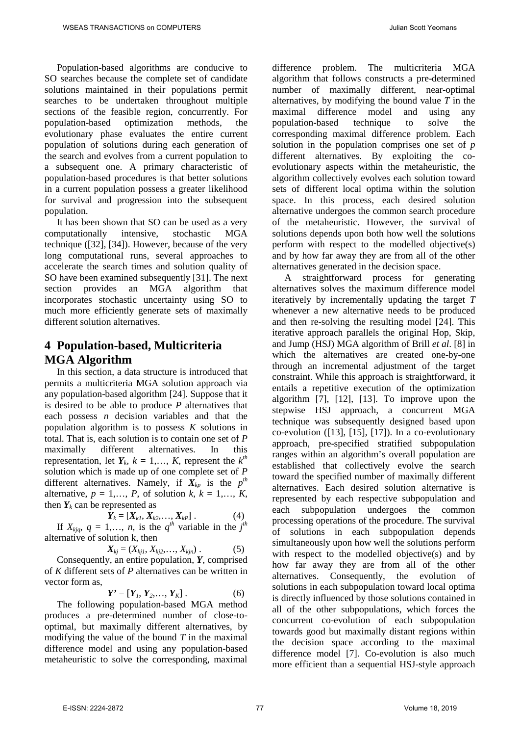Population-based algorithms are conducive to SO searches because the complete set of candidate solutions maintained in their populations permit searches to be undertaken throughout multiple sections of the feasible region, concurrently. For population-based optimization methods, the evolutionary phase evaluates the entire current population of solutions during each generation of the search and evolves from a current population to a subsequent one. A primary characteristic of population-based procedures is that better solutions in a current population possess a greater likelihood for survival and progression into the subsequent population.

It has been shown that SO can be used as a very computationally intensive, stochastic MGA technique ([32], [34]). However, because of the very long computational runs, several approaches to accelerate the search times and solution quality of SO have been examined subsequently [31]. The next section provides an MGA algorithm that incorporates stochastic uncertainty using SO to much more efficiently generate sets of maximally different solution alternatives.

## **4 Population-based, Multicriteria MGA Algorithm**

In this section, a data structure is introduced that permits a multicriteria MGA solution approach via any population-based algorithm [24]. Suppose that it is desired to be able to produce *P* alternatives that each possess *n* decision variables and that the population algorithm is to possess *K* solutions in total. That is, each solution is to contain one set of *P* maximally different alternatives. In this representation, let  $Y_k$ ,  $k = 1,..., K$ , represent the  $k^{th}$ solution which is made up of one complete set of *P* different alternatives. Namely, if  $X_{kp}$  is the  $p^{th}$ alternative,  $p = 1, \ldots, P$ , of solution  $k, k = 1, \ldots, K$ , then  $Y_k$  can be represented as

$$
\mathbf{Y}_k = [\mathbf{X}_{k1}, \mathbf{X}_{k2}, \dots, \mathbf{X}_{kP}]. \tag{4}
$$

If  $X_{kjq}$ ,  $q = 1,..., n$ , is the  $q^{th}$  variable in the  $j^{th}$ alternative of solution k, then

$$
X_{kj} = (X_{kj1}, X_{kj2}, \ldots, X_{kjn}). \tag{5}
$$

Consequently, an entire population, *Y*, comprised of *K* different sets of *P* alternatives can be written in vector form as,

$$
Y' = [Y_1, Y_2, ..., Y_K].
$$
 (6)

The following population-based MGA method produces a pre-determined number of close-tooptimal, but maximally different alternatives, by modifying the value of the bound *T* in the maximal difference model and using any population-based metaheuristic to solve the corresponding, maximal difference problem. The multicriteria MGA algorithm that follows constructs a pre-determined number of maximally different, near-optimal alternatives, by modifying the bound value *T* in the maximal difference model and using any population-based technique to solve the corresponding maximal difference problem. Each solution in the population comprises one set of *p* different alternatives. By exploiting the coevolutionary aspects within the metaheuristic, the algorithm collectively evolves each solution toward sets of different local optima within the solution space. In this process, each desired solution alternative undergoes the common search procedure of the metaheuristic. However, the survival of solutions depends upon both how well the solutions perform with respect to the modelled objective(s) and by how far away they are from all of the other alternatives generated in the decision space.

A straightforward process for generating alternatives solves the maximum difference model iteratively by incrementally updating the target *T* whenever a new alternative needs to be produced and then re-solving the resulting model [24]. This iterative approach parallels the original Hop, Skip, and Jump (HSJ) MGA algorithm of Brill *et al*. [8] in which the alternatives are created one-by-one through an incremental adjustment of the target constraint. While this approach is straightforward, it entails a repetitive execution of the optimization algorithm [7], [12], [13]. To improve upon the stepwise HSJ approach, a concurrent MGA technique was subsequently designed based upon co-evolution ([13], [15], [17]). In a co-evolutionary approach, pre-specified stratified subpopulation ranges within an algorithm's overall population are established that collectively evolve the search toward the specified number of maximally different alternatives. Each desired solution alternative is represented by each respective subpopulation and each subpopulation undergoes the common processing operations of the procedure. The survival of solutions in each subpopulation depends simultaneously upon how well the solutions perform with respect to the modelled objective(s) and by how far away they are from all of the other alternatives. Consequently, the evolution of solutions in each subpopulation toward local optima is directly influenced by those solutions contained in all of the other subpopulations, which forces the concurrent co-evolution of each subpopulation towards good but maximally distant regions within the decision space according to the maximal difference model [7]. Co-evolution is also much more efficient than a sequential HSJ-style approach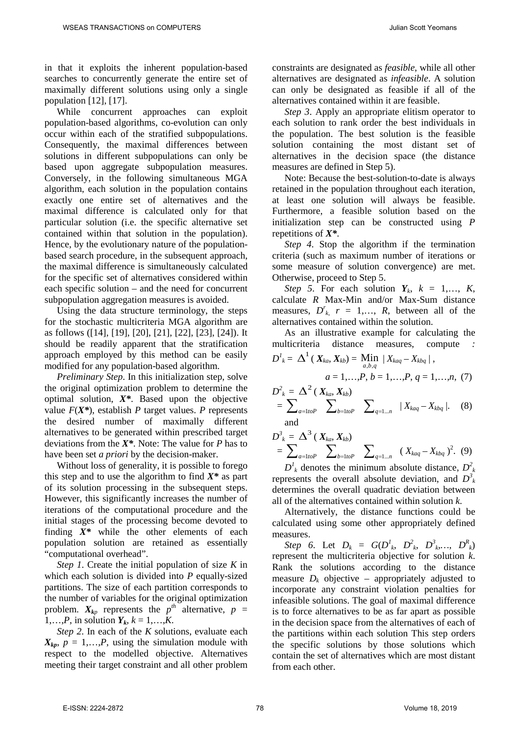in that it exploits the inherent population-based searches to concurrently generate the entire set of maximally different solutions using only a single population [12], [17].

While concurrent approaches can exploit population-based algorithms, co-evolution can only occur within each of the stratified subpopulations. Consequently, the maximal differences between solutions in different subpopulations can only be based upon aggregate subpopulation measures. Conversely, in the following simultaneous MGA algorithm, each solution in the population contains exactly one entire set of alternatives and the maximal difference is calculated only for that particular solution (i.e. the specific alternative set contained within that solution in the population). Hence, by the evolutionary nature of the populationbased search procedure, in the subsequent approach, the maximal difference is simultaneously calculated for the specific set of alternatives considered within each specific solution – and the need for concurrent subpopulation aggregation measures is avoided.

Using the data structure terminology, the steps for the stochastic multicriteria MGA algorithm are as follows ([14], [19], [20], [21], [22], [23], [24]). It should be readily apparent that the stratification approach employed by this method can be easily modified for any population-based algorithm.

*Preliminary Step*. In this initialization step, solve the original optimization problem to determine the optimal solution, *X\**. Based upon the objective value  $F(X^*)$ , establish *P* target values. *P* represents the desired number of maximally different alternatives to be generated within prescribed target deviations from the *X\**. Note: The value for *P* has to have been set *a priori* by the decision-maker.

Without loss of generality, it is possible to forego this step and to use the algorithm to find  $X^*$  as part of its solution processing in the subsequent steps. However, this significantly increases the number of iterations of the computational procedure and the initial stages of the processing become devoted to finding *X\** while the other elements of each population solution are retained as essentially "computational overhead".

*Step 1*. Create the initial population of size *K* in which each solution is divided into *P* equally-sized partitions. The size of each partition corresponds to the number of variables for the original optimization problem.  $X_{kp}$  represents the  $p^{th}$  alternative,  $p =$ 1,...,*P*, in solution  $Y_k$ ,  $k = 1,...,K$ .

*Step 2*. In each of the *K* solutions, evaluate each  $X_{kp}$ ,  $p = 1,...,P$ , using the simulation module with respect to the modelled objective. Alternatives meeting their target constraint and all other problem constraints are designated as *feasible*, while all other alternatives are designated as *infeasible*. A solution can only be designated as feasible if all of the alternatives contained within it are feasible.

*Step 3*. Apply an appropriate elitism operator to each solution to rank order the best individuals in the population. The best solution is the feasible solution containing the most distant set of alternatives in the decision space (the distance measures are defined in Step 5).

Note: Because the best-solution-to-date is always retained in the population throughout each iteration, at least one solution will always be feasible. Furthermore, a feasible solution based on the initialization step can be constructed using *P* repetitions of *X\**.

*Step 4*. Stop the algorithm if the termination criteria (such as maximum number of iterations or some measure of solution convergence) are met. Otherwise, proceed to Step 5.

*Step 5*. For each solution  $Y_k$ ,  $k = 1,..., K$ , calculate *R* Max-Min and/or Max-Sum distance measures,  $D^r_k$ ,  $r = 1,..., R$ , between all of the alternatives contained within the solution.

As an illustrative example for calculating the multicriteria distance measures, compute *:* 

$$
D^{1}_{\phantom{1}k}=\,\Delta^{1}\,(\,X_{ka},X_{kb})=\,\operatornamewithlimits{Min}_{a,b,q}\,\mid X_{kaq}-X_{kbq}\mid,
$$

$$
a=1,\ldots,P,\,b=1,\ldots,P,\,q=1,\ldots,n,\,\,(7)
$$

. (9)

$$
D_k^2 = \Delta^2 (X_{ka}, X_{kb})
$$
  
=  $\sum_{a=1to^P} \sum_{b=1to^P} \sum_{b=1...P} |X_{kaq} - X_{kbq}|$ . (8) and

$$
D_{k}^{3} = \Delta^{3} (X_{ka}, X_{kb})
$$
  
=  $\sum_{a=1toP} \sum_{b=1toP} \sum_{b=1:0P} \sum_{q=1...n} (X_{kaq} - X_{kbq})^{2}$ .

 $D^1_k$  denotes the minimum absolute distance,  $D^2_k$ represents the overall absolute deviation, and  $D^3$ determines the overall quadratic deviation between all of the alternatives contained within solution *k*.

Alternatively, the distance functions could be calculated using some other appropriately defined measures.

*Step 6*. Let  $D_k = G(D^l_k, D^2_k, D^3_k, ..., D^R_k)$ represent the multicriteria objective for solution *k*. Rank the solutions according to the distance measure  $D_k$  objective – appropriately adjusted to incorporate any constraint violation penalties for infeasible solutions. The goal of maximal difference is to force alternatives to be as far apart as possible in the decision space from the alternatives of each of the partitions within each solution This step orders the specific solutions by those solutions which contain the set of alternatives which are most distant from each other.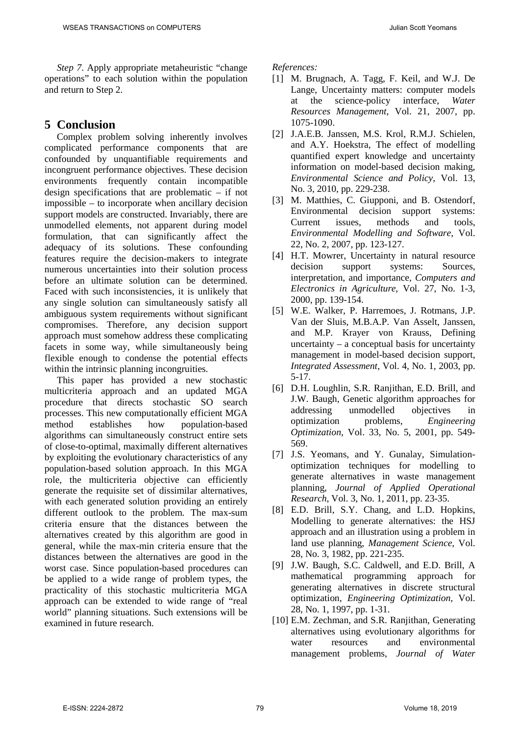*Step 7*. Apply appropriate metaheuristic "change operations" to each solution within the population and return to Step 2.

#### **5 Conclusion**

Complex problem solving inherently involves complicated performance components that are confounded by unquantifiable requirements and incongruent performance objectives. These decision environments frequently contain incompatible design specifications that are problematic – if not impossible – to incorporate when ancillary decision support models are constructed. Invariably, there are unmodelled elements, not apparent during model formulation, that can significantly affect the adequacy of its solutions. These confounding features require the decision-makers to integrate numerous uncertainties into their solution process before an ultimate solution can be determined. Faced with such inconsistencies, it is unlikely that any single solution can simultaneously satisfy all ambiguous system requirements without significant compromises. Therefore, any decision support approach must somehow address these complicating facets in some way, while simultaneously being flexible enough to condense the potential effects within the intrinsic planning incongruities.

This paper has provided a new stochastic multicriteria approach and an updated MGA procedure that directs stochastic SO search processes. This new computationally efficient MGA method establishes how population-based algorithms can simultaneously construct entire sets of close-to-optimal, maximally different alternatives by exploiting the evolutionary characteristics of any population-based solution approach. In this MGA role, the multicriteria objective can efficiently generate the requisite set of dissimilar alternatives, with each generated solution providing an entirely different outlook to the problem. The max-sum criteria ensure that the distances between the alternatives created by this algorithm are good in general, while the max-min criteria ensure that the distances between the alternatives are good in the worst case. Since population-based procedures can be applied to a wide range of problem types, the practicality of this stochastic multicriteria MGA approach can be extended to wide range of "real world" planning situations. Such extensions will be examined in future research.

*References:*

- [1] M. Brugnach, A. Tagg, F. Keil, and W.J. De Lange, Uncertainty matters: computer models at the science-policy interface, *Water Resources Management*, Vol. 21, 2007, pp. 1075-1090.
- [2] J.A.E.B. Janssen, M.S. Krol, R.M.J. Schielen, and A.Y. Hoekstra, The effect of modelling quantified expert knowledge and uncertainty information on model-based decision making, *Environmental Science and Policy*, Vol. 13, No. 3, 2010, pp. 229-238.
- [3] M. Matthies, C. Giupponi, and B. Ostendorf, Environmental decision support systems: Current issues, methods and tools, *Environmental Modelling and Software*, Vol. 22, No. 2, 2007, pp. 123-127.
- [4] H.T. Mowrer, Uncertainty in natural resource decision support systems: Sources, interpretation, and importance, *Computers and Electronics in Agriculture*, Vol. 27, No. 1-3, 2000, pp. 139-154.
- [5] W.E. Walker, P. Harremoes, J. Rotmans, J.P. Van der Sluis, M.B.A.P. Van Asselt, Janssen, and M.P. Krayer von Krauss, Defining uncertainty – a conceptual basis for uncertainty management in model-based decision support, *Integrated Assessment*, Vol. 4, No. 1, 2003, pp. 5-17.
- [6] D.H. Loughlin, S.R. Ranjithan, E.D. Brill, and J.W. Baugh, Genetic algorithm approaches for addressing unmodelled objectives in optimization problems, *Engineering Optimization*, Vol. 33, No. 5, 2001, pp. 549- 569.
- [7] J.S. Yeomans, and Y. Gunalay, Simulationoptimization techniques for modelling to generate alternatives in waste management planning, *Journal of Applied Operational Research*, Vol. 3, No. 1, 2011, pp. 23-35.
- [8] E.D. Brill, S.Y. Chang, and L.D. Hopkins, Modelling to generate alternatives: the HSJ approach and an illustration using a problem in land use planning, *Management Science*, Vol. 28, No. 3, 1982, pp. 221-235.
- [9] J.W. Baugh, S.C. Caldwell, and E.D. Brill, A mathematical programming approach for generating alternatives in discrete structural optimization, *Engineering Optimization*, Vol. 28, No. 1, 1997, pp. 1-31.
- [10] E.M. Zechman, and S.R. Ranjithan, Generating alternatives using evolutionary algorithms for water resources and environmental management problems, *Journal of Water*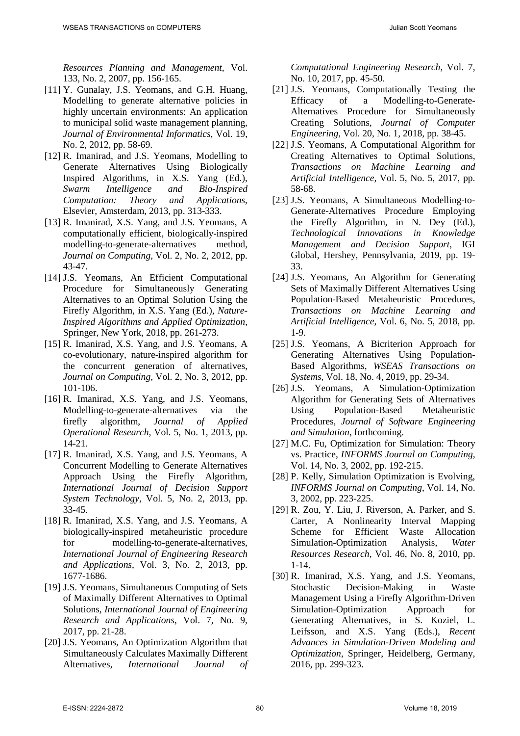*Resources Planning and Management*, Vol. 133, No. 2, 2007, pp. 156-165.

- [11] Y. Gunalay, J.S. Yeomans, and G.H. Huang, Modelling to generate alternative policies in highly uncertain environments: An application to municipal solid waste management planning, *Journal of Environmental Informatics*, Vol. 19, No. 2, 2012, pp. 58-69.
- [12] R. Imanirad, and J.S. Yeomans, Modelling to Generate Alternatives Using Biologically Inspired Algorithms, in X.S. Yang (Ed.), *Swarm Intelligence and Bio-Inspired Computation: Theory and Applications*, Elsevier, Amsterdam, 2013, pp. 313-333.
- [13] R. Imanirad, X.S. Yang, and J.S. Yeomans, A computationally efficient, biologically-inspired modelling-to-generate-alternatives method, *Journal on Computing*, Vol. 2, No. 2, 2012, pp. 43-47.
- [14] J.S. Yeomans, An Efficient Computational Procedure for Simultaneously Generating Alternatives to an Optimal Solution Using the Firefly Algorithm, in X.S. Yang (Ed.), *Nature-Inspired Algorithms and Applied Optimization*, Springer, New York, 2018, pp. 261-273.
- [15] R. Imanirad, X.S. Yang, and J.S. Yeomans, A co-evolutionary, nature-inspired algorithm for the concurrent generation of alternatives, *Journal on Computing*, Vol. 2, No. 3, 2012, pp. 101-106.
- [16] R. Imanirad, X.S. Yang, and J.S. Yeomans, Modelling-to-generate-alternatives via the firefly algorithm, *Journal of Applied Operational Research*, Vol. 5, No. 1, 2013, pp. 14-21.
- [17] R. Imanirad, X.S. Yang, and J.S. Yeomans, A Concurrent Modelling to Generate Alternatives Approach Using the Firefly Algorithm, *International Journal of Decision Support System Technology*, Vol. 5, No. 2, 2013, pp. 33-45.
- [18] R. Imanirad, X.S. Yang, and J.S. Yeomans, A biologically-inspired metaheuristic procedure for modelling-to-generate-alternatives, *International Journal of Engineering Research and Applications*, Vol. 3, No. 2, 2013, pp. 1677-1686.
- [19] J.S. Yeomans, Simultaneous Computing of Sets of Maximally Different Alternatives to Optimal Solutions, *International Journal of Engineering Research and Applications*, Vol. 7, No. 9, 2017, pp. 21-28.
- [20] J.S. Yeomans, An Optimization Algorithm that Simultaneously Calculates Maximally Different Alternatives, *International Journal of*

*Computational Engineering Research*, Vol. 7, No. 10, 2017, pp. 45-50.

- [21] J.S. Yeomans, Computationally Testing the Efficacy of a Modelling-to-Generate-Alternatives Procedure for Simultaneously Creating Solutions, *Journal of Computer Engineering*, Vol. 20, No. 1, 2018, pp. 38-45.
- [22] J.S. Yeomans, A Computational Algorithm for Creating Alternatives to Optimal Solutions, *Transactions on Machine Learning and Artificial Intelligence*, Vol. 5, No. 5, 2017, pp. 58-68.
- [23] J.S. Yeomans, A Simultaneous Modelling-to-Generate-Alternatives Procedure Employing the Firefly Algorithm, in N. Dey (Ed.), *Technological Innovations in Knowledge Management and Decision Support*, IGI Global, Hershey, Pennsylvania, 2019, pp. 19- 33.
- [24] J.S. Yeomans, An Algorithm for Generating Sets of Maximally Different Alternatives Using Population-Based Metaheuristic Procedures, *Transactions on Machine Learning and Artificial Intelligence*, Vol. 6, No. 5, 2018, pp. 1-9.
- [25] J.S. Yeomans, A Bicriterion Approach for Generating Alternatives Using Population-Based Algorithms, *WSEAS Transactions on Systems*, Vol. 18, No. 4, 2019, pp. 29-34.
- [26] J.S. Yeomans, A Simulation-Optimization Algorithm for Generating Sets of Alternatives Using Population-Based Metaheuristic Procedures, *Journal of Software Engineering and Simulation*, forthcoming.
- [27] M.C. Fu, Optimization for Simulation: Theory vs. Practice, *INFORMS Journal on Computing*, Vol. 14, No. 3, 2002, pp. 192-215.
- [28] P. Kelly, Simulation Optimization is Evolving, *INFORMS Journal on Computing*, Vol. 14, No. 3, 2002, pp. 223-225.
- [29] R. Zou, Y. Liu, J. Riverson, A. Parker, and S. Carter, A Nonlinearity Interval Mapping Scheme for Efficient Waste Allocation Simulation-Optimization Analysis, *Water Resources Research*, Vol. 46, No. 8, 2010, pp. 1-14.
- [30] R. Imanirad, X.S. Yang, and J.S. Yeomans, Stochastic Decision-Making in Waste Management Using a Firefly Algorithm-Driven Simulation-Optimization Approach for Generating Alternatives, in S. Koziel, L. Leifsson, and X.S. Yang (Eds.), *Recent Advances in Simulation-Driven Modeling and Optimization*, Springer, Heidelberg, Germany, 2016, pp. 299-323.